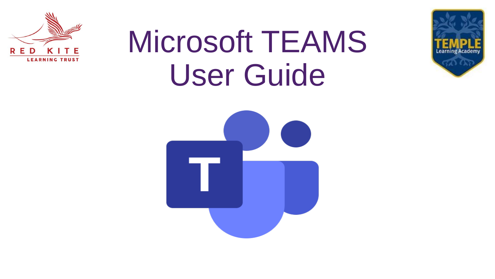

# Microsoft TEAMS User Guide



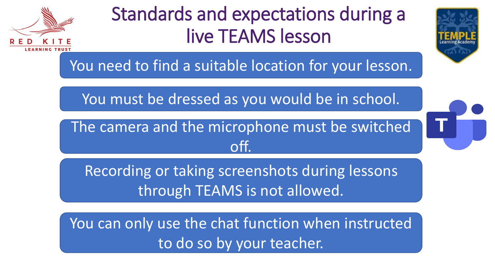

# Standards and expectations during a live TEAMS lesson



You need to find a suitable location for your lesson.

You must be dressed as you would be in school.

The camera and the microphone must be switched off.



Recording or taking screenshots during lessons through TEAMS is not allowed.

You can only use the chat function when instructed to do so by your teacher.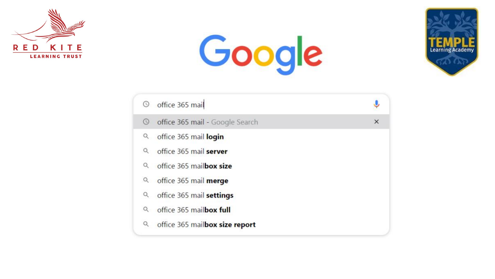





| $\circledcirc$ | office 365 mail                 |          |
|----------------|---------------------------------|----------|
| $\circledcirc$ | office 365 mail - Google Search | $\times$ |
| $\alpha$       | office 365 mail login           |          |
| $\alpha$       | office 365 mail server          |          |
| Q              | office 365 mailbox size         |          |
|                | Q office 365 mail merge         |          |
| Q              | office 365 mail settings        |          |
| $\alpha$       | office 365 mailbox full         |          |
| Q              | office 365 mailbox size report  |          |
|                |                                 |          |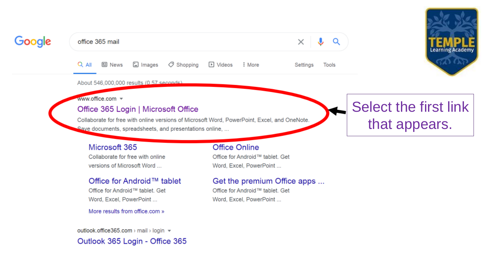

## Google

office 365 mail

国 Images  $\oslash$  Shopping ID Videos  $Q$  All **国 News** : More

Settings Tools

↓

Q

 $\times$ 

#### About 546,000,000 results (0.57 seconds)

www.office.com =

#### Office 365 Login | Microsoft Office

Collaborate for free with online versions of Microsoft Word, PowerPoint, Excel, and OneNote. Save documents, spreadsheets, and presentations online, ...

#### Microsoft 365

Collaborate for free with online versions of Microsoft Word ...

#### Office for Android™ tablet

Office for Android™ tablet. Get Word, Excel, PowerPoint...

More results from office.com »

#### outlook.office365.com > mail > login ▼ Outlook 365 Login - Office 365

#### **Office Online**

Office for Android™ tablet. Get Word, Excel, PowerPoint ...

#### Get the premium Office apps ...

Office for Android™ tablet. Get Word, Excel, PowerPoint...

# Select the first link that appears.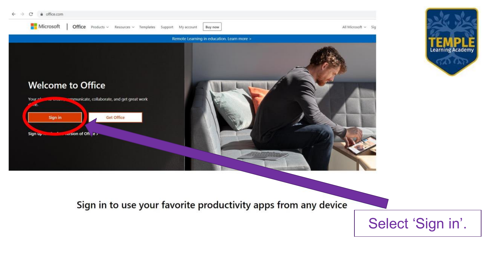

Sign in to use your favorite productivity apps from any device

Select 'Sign in'.

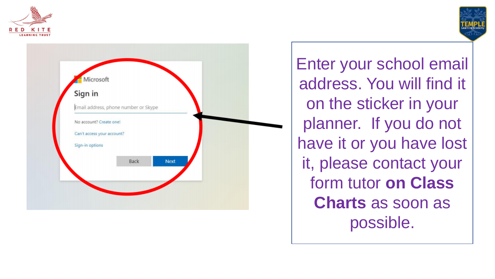





Enter your school email address. You will find it on the sticker in your planner. If you do not have it or you have lost it, please contact your form tutor **on Class Charts** as soon as possible.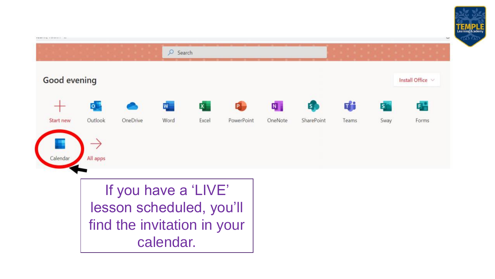



If you have a 'LIVE' lesson scheduled, you'll find the invitation in your calendar.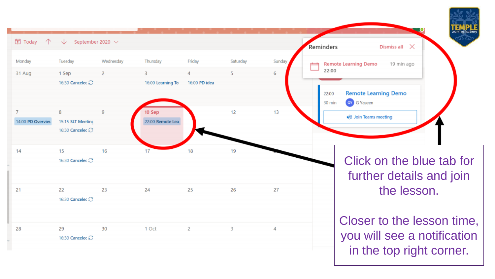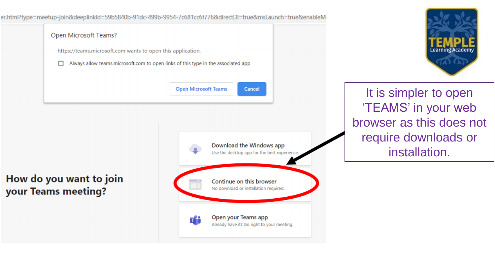

Learning Academ

It is simpler to open 'TEAMS' in your web browser as this does not require downloads or installation.

### How do you want to join your Teams meeting?

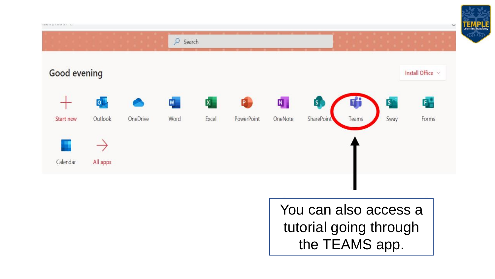

You can also access a tutorial going through the TEAMS app.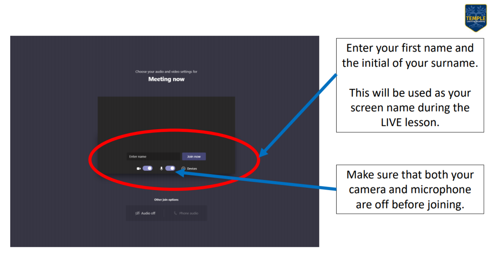



Enter your first name and the initial of your surname.

This will be used as your screen name during the LIVE lesson.

Make sure that both your camera and microphone are off before joining.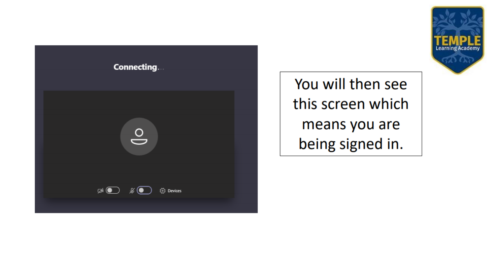

You will then see this screen which means you are being signed in.

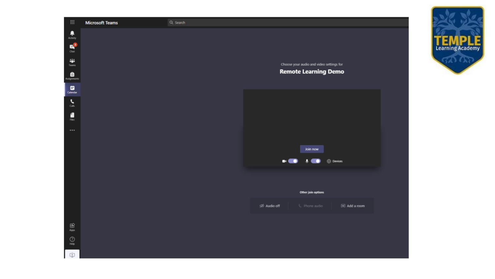